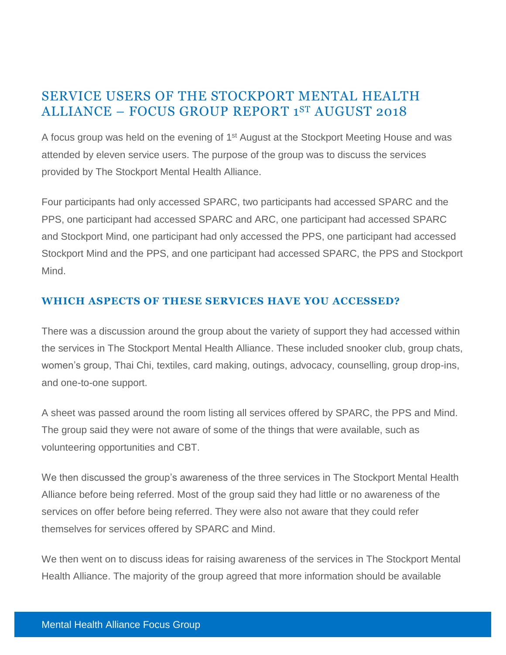# SERVICE USERS OF THE STOCKPORT MENTAL HEALTH ALLIANCE – FOCUS GROUP REPORT 1 ST AUGUST 2018

A focus group was held on the evening of 1<sup>st</sup> August at the Stockport Meeting House and was attended by eleven service users. The purpose of the group was to discuss the services provided by The Stockport Mental Health Alliance.

Four participants had only accessed SPARC, two participants had accessed SPARC and the PPS, one participant had accessed SPARC and ARC, one participant had accessed SPARC and Stockport Mind, one participant had only accessed the PPS, one participant had accessed Stockport Mind and the PPS, and one participant had accessed SPARC, the PPS and Stockport Mind.

### **WHICH ASPECTS OF THESE SERVICES HAVE YOU ACCESSED?**

There was a discussion around the group about the variety of support they had accessed within the services in The Stockport Mental Health Alliance. These included snooker club, group chats, women's group, Thai Chi, textiles, card making, outings, advocacy, counselling, group drop-ins, and one-to-one support.

A sheet was passed around the room listing all services offered by SPARC, the PPS and Mind. The group said they were not aware of some of the things that were available, such as volunteering opportunities and CBT.

We then discussed the group's awareness of the three services in The Stockport Mental Health Alliance before being referred. Most of the group said they had little or no awareness of the services on offer before being referred. They were also not aware that they could refer themselves for services offered by SPARC and Mind.

We then went on to discuss ideas for raising awareness of the services in The Stockport Mental Health Alliance. The majority of the group agreed that more information should be available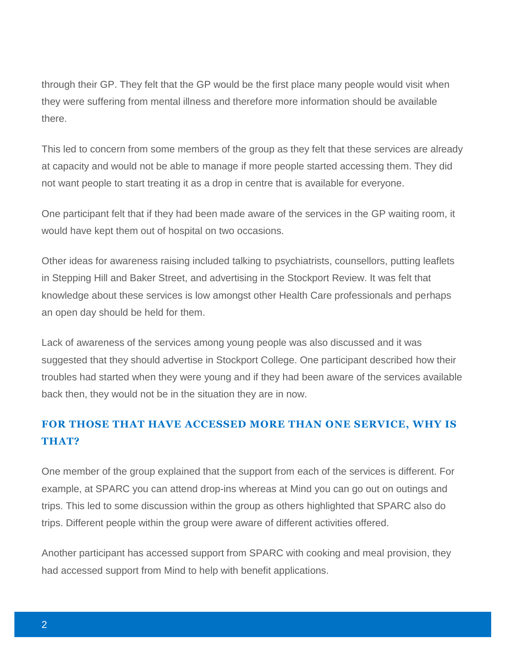through their GP. They felt that the GP would be the first place many people would visit when they were suffering from mental illness and therefore more information should be available there.

This led to concern from some members of the group as they felt that these services are already at capacity and would not be able to manage if more people started accessing them. They did not want people to start treating it as a drop in centre that is available for everyone.

One participant felt that if they had been made aware of the services in the GP waiting room, it would have kept them out of hospital on two occasions.

Other ideas for awareness raising included talking to psychiatrists, counsellors, putting leaflets in Stepping Hill and Baker Street, and advertising in the Stockport Review. It was felt that knowledge about these services is low amongst other Health Care professionals and perhaps an open day should be held for them.

Lack of awareness of the services among young people was also discussed and it was suggested that they should advertise in Stockport College. One participant described how their troubles had started when they were young and if they had been aware of the services available back then, they would not be in the situation they are in now.

# **FOR THOSE THAT HAVE ACCESSED MORE THAN ONE SERVICE, WHY IS THAT?**

One member of the group explained that the support from each of the services is different. For example, at SPARC you can attend drop-ins whereas at Mind you can go out on outings and trips. This led to some discussion within the group as others highlighted that SPARC also do trips. Different people within the group were aware of different activities offered.

Another participant has accessed support from SPARC with cooking and meal provision, they had accessed support from Mind to help with benefit applications.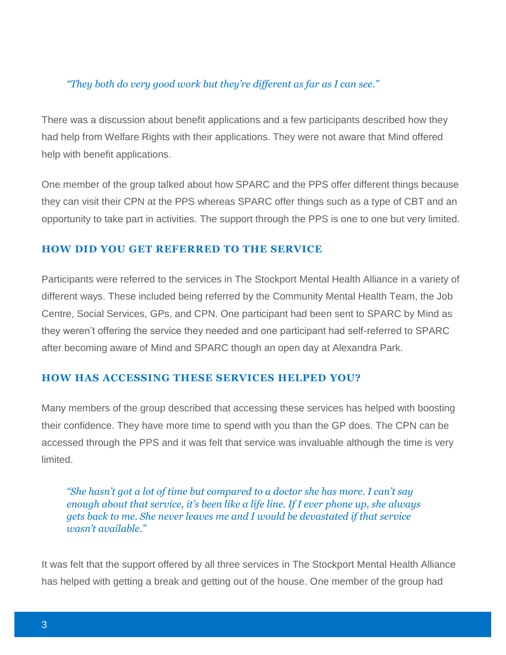### *"They both do very good work but they're different as far as I can see."*

There was a discussion about benefit applications and a few participants described how they had help from Welfare Rights with their applications. They were not aware that Mind offered help with benefit applications.

One member of the group talked about how SPARC and the PPS offer different things because they can visit their CPN at the PPS whereas SPARC offer things such as a type of CBT and an opportunity to take part in activities. The support through the PPS is one to one but very limited.

### **HOW DID YOU GET REFERRED TO THE SERVICE**

Participants were referred to the services in The Stockport Mental Health Alliance in a variety of different ways. These included being referred by the Community Mental Health Team, the Job Centre, Social Services, GPs, and CPN. One participant had been sent to SPARC by Mind as they weren't offering the service they needed and one participant had self-referred to SPARC after becoming aware of Mind and SPARC though an open day at Alexandra Park.

### **HOW HAS ACCESSING THESE SERVICES HELPED YOU?**

Many members of the group described that accessing these services has helped with boosting their confidence. They have more time to spend with you than the GP does. The CPN can be accessed through the PPS and it was felt that service was invaluable although the time is very limited.

*"She hasn't got a lot of time but compared to a doctor she has more. I can't say enough about that service, it's been like a life line. If I ever phone up, she always gets back to me. She never leaves me and I would be devastated if that service wasn't available."*

It was felt that the support offered by all three services in The Stockport Mental Health Alliance has helped with getting a break and getting out of the house. One member of the group had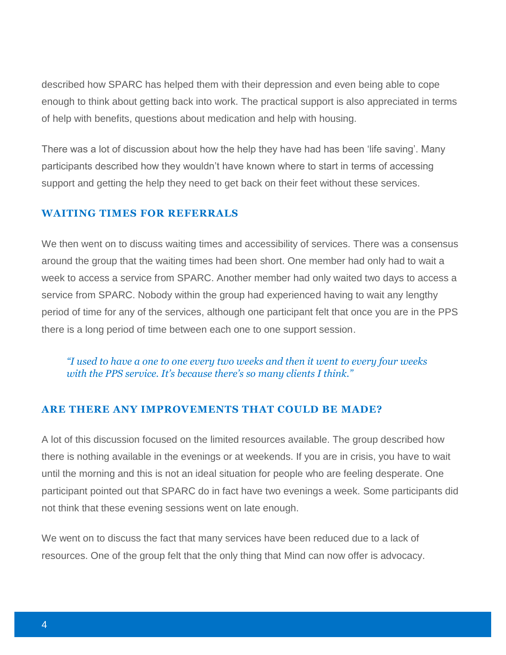described how SPARC has helped them with their depression and even being able to cope enough to think about getting back into work. The practical support is also appreciated in terms of help with benefits, questions about medication and help with housing.

There was a lot of discussion about how the help they have had has been 'life saving'. Many participants described how they wouldn't have known where to start in terms of accessing support and getting the help they need to get back on their feet without these services.

#### **WAITING TIMES FOR REFERRALS**

We then went on to discuss waiting times and accessibility of services. There was a consensus around the group that the waiting times had been short. One member had only had to wait a week to access a service from SPARC. Another member had only waited two days to access a service from SPARC. Nobody within the group had experienced having to wait any lengthy period of time for any of the services, although one participant felt that once you are in the PPS there is a long period of time between each one to one support session.

*"I used to have a one to one every two weeks and then it went to every four weeks with the PPS service. It's because there's so many clients I think."*

#### **ARE THERE ANY IMPROVEMENTS THAT COULD BE MADE?**

A lot of this discussion focused on the limited resources available. The group described how there is nothing available in the evenings or at weekends. If you are in crisis, you have to wait until the morning and this is not an ideal situation for people who are feeling desperate. One participant pointed out that SPARC do in fact have two evenings a week. Some participants did not think that these evening sessions went on late enough.

We went on to discuss the fact that many services have been reduced due to a lack of resources. One of the group felt that the only thing that Mind can now offer is advocacy.